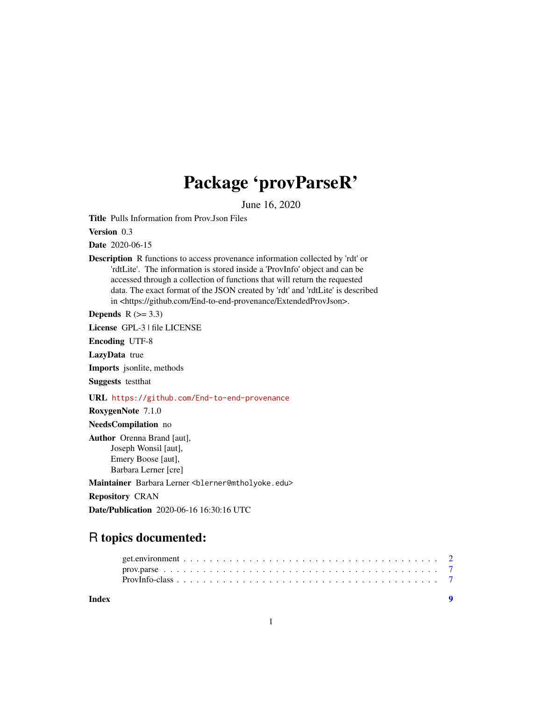## Package 'provParseR'

June 16, 2020

Title Pulls Information from Prov.Json Files

Version 0.3

Date 2020-06-15

Description R functions to access provenance information collected by 'rdt' or 'rdtLite'. The information is stored inside a 'ProvInfo' object and can be accessed through a collection of functions that will return the requested data. The exact format of the JSON created by 'rdt' and 'rdtLite' is described in <https://github.com/End-to-end-provenance/ExtendedProvJson>.

Depends  $R$  ( $>= 3.3$ )

License GPL-3 | file LICENSE

Encoding UTF-8

LazyData true

Imports jsonlite, methods

Suggests testthat

URL <https://github.com/End-to-end-provenance>

RoxygenNote 7.1.0

NeedsCompilation no Author Orenna Brand [aut], Joseph Wonsil [aut], Emery Boose [aut], Barbara Lerner [cre]

Maintainer Barbara Lerner <blerner@mtholyoke.edu>

Repository CRAN

Date/Publication 2020-06-16 16:30:16 UTC

### R topics documented:

| Index |  |  |  |  |  |  |  |  |  |  |  |  |  |  |  |  |  |
|-------|--|--|--|--|--|--|--|--|--|--|--|--|--|--|--|--|--|
|       |  |  |  |  |  |  |  |  |  |  |  |  |  |  |  |  |  |
|       |  |  |  |  |  |  |  |  |  |  |  |  |  |  |  |  |  |
|       |  |  |  |  |  |  |  |  |  |  |  |  |  |  |  |  |  |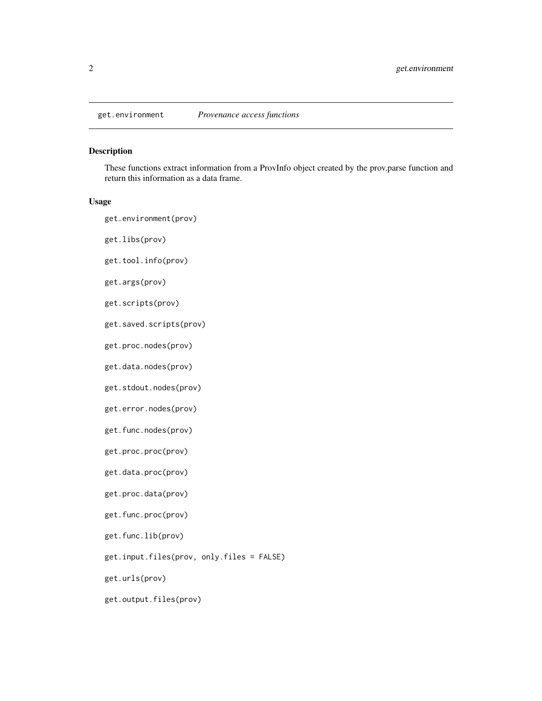<span id="page-1-1"></span><span id="page-1-0"></span>

#### Description

These functions extract information from a ProvInfo object created by the prov.parse function and return this information as a data frame.

#### Usage

get.environment(prov) get.libs(prov)

get.tool.info(prov)

get.args(prov)

get.scripts(prov)

- get.saved.scripts(prov)
- get.proc.nodes(prov)

get.data.nodes(prov)

get.stdout.nodes(prov)

- get.error.nodes(prov)
- get.func.nodes(prov)
- get.proc.proc(prov)
- get.data.proc(prov)
- get.proc.data(prov)
- get.func.proc(prov)
- get.func.lib(prov)
- get.input.files(prov, only.files = FALSE)

get.urls(prov)

get.output.files(prov)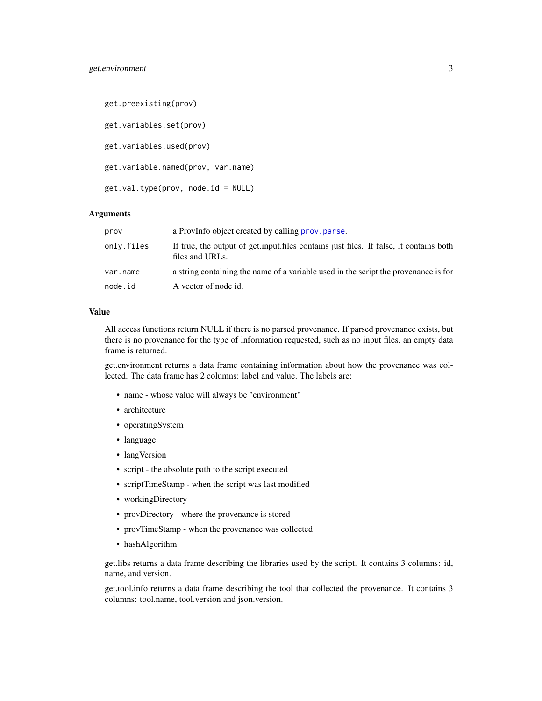```
get.preexisting(prov)
get.variables.set(prov)
get.variables.used(prov)
get.variable.named(prov, var.name)
get.val.type(prov, node.id = NULL)
```
#### Arguments

| prov       | a ProvInfo object created by calling prov. parse.                                                         |
|------------|-----------------------------------------------------------------------------------------------------------|
| only.files | If true, the output of get input files contains just files. If false, it contains both<br>files and URLs. |
| var.name   | a string containing the name of a variable used in the script the provenance is for                       |
| node.id    | A vector of node id.                                                                                      |

#### Value

All access functions return NULL if there is no parsed provenance. If parsed provenance exists, but there is no provenance for the type of information requested, such as no input files, an empty data frame is returned.

get.environment returns a data frame containing information about how the provenance was collected. The data frame has 2 columns: label and value. The labels are:

- name whose value will always be "environment"
- architecture
- operatingSystem
- language
- langVersion
- script the absolute path to the script executed
- scriptTimeStamp when the script was last modified
- workingDirectory
- provDirectory where the provenance is stored
- provTimeStamp when the provenance was collected
- hashAlgorithm

get.libs returns a data frame describing the libraries used by the script. It contains 3 columns: id, name, and version.

get.tool.info returns a data frame describing the tool that collected the provenance. It contains 3 columns: tool.name, tool.version and json.version.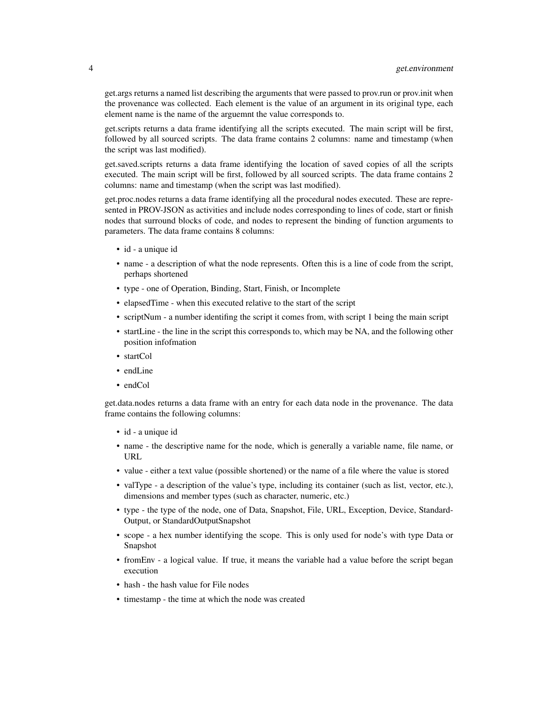get.args returns a named list describing the arguments that were passed to prov.run or prov.init when the provenance was collected. Each element is the value of an argument in its original type, each element name is the name of the arguemnt the value corresponds to.

get.scripts returns a data frame identifying all the scripts executed. The main script will be first, followed by all sourced scripts. The data frame contains 2 columns: name and timestamp (when the script was last modified).

get.saved.scripts returns a data frame identifying the location of saved copies of all the scripts executed. The main script will be first, followed by all sourced scripts. The data frame contains 2 columns: name and timestamp (when the script was last modified).

get.proc.nodes returns a data frame identifying all the procedural nodes executed. These are represented in PROV-JSON as activities and include nodes corresponding to lines of code, start or finish nodes that surround blocks of code, and nodes to represent the binding of function arguments to parameters. The data frame contains 8 columns:

- id a unique id
- name a description of what the node represents. Often this is a line of code from the script, perhaps shortened
- type one of Operation, Binding, Start, Finish, or Incomplete
- elapsedTime when this executed relative to the start of the script
- scriptNum a number identifing the script it comes from, with script 1 being the main script
- startLine the line in the script this corresponds to, which may be NA, and the following other position infofmation
- startCol
- endLine
- endCol

get.data.nodes returns a data frame with an entry for each data node in the provenance. The data frame contains the following columns:

- id a unique id
- name the descriptive name for the node, which is generally a variable name, file name, or URL
- value either a text value (possible shortened) or the name of a file where the value is stored
- valType a description of the value's type, including its container (such as list, vector, etc.), dimensions and member types (such as character, numeric, etc.)
- type the type of the node, one of Data, Snapshot, File, URL, Exception, Device, Standard-Output, or StandardOutputSnapshot
- scope a hex number identifying the scope. This is only used for node's with type Data or Snapshot
- fromEnv a logical value. If true, it means the variable had a value before the script began execution
- hash the hash value for File nodes
- timestamp the time at which the node was created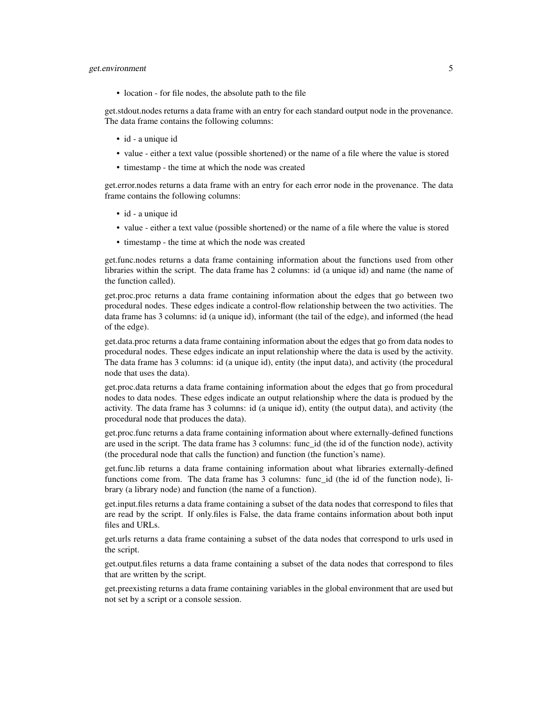#### get.environment 5

• location - for file nodes, the absolute path to the file

get.stdout.nodes returns a data frame with an entry for each standard output node in the provenance. The data frame contains the following columns:

- id a unique id
- value either a text value (possible shortened) or the name of a file where the value is stored
- timestamp the time at which the node was created

get.error.nodes returns a data frame with an entry for each error node in the provenance. The data frame contains the following columns:

- id a unique id
- value either a text value (possible shortened) or the name of a file where the value is stored
- timestamp the time at which the node was created

get.func.nodes returns a data frame containing information about the functions used from other libraries within the script. The data frame has 2 columns: id (a unique id) and name (the name of the function called).

get.proc.proc returns a data frame containing information about the edges that go between two procedural nodes. These edges indicate a control-flow relationship between the two activities. The data frame has 3 columns: id (a unique id), informant (the tail of the edge), and informed (the head of the edge).

get.data.proc returns a data frame containing information about the edges that go from data nodes to procedural nodes. These edges indicate an input relationship where the data is used by the activity. The data frame has 3 columns: id (a unique id), entity (the input data), and activity (the procedural node that uses the data).

get.proc.data returns a data frame containing information about the edges that go from procedural nodes to data nodes. These edges indicate an output relationship where the data is produed by the activity. The data frame has 3 columns: id (a unique id), entity (the output data), and activity (the procedural node that produces the data).

get.proc.func returns a data frame containing information about where externally-defined functions are used in the script. The data frame has 3 columns: func\_id (the id of the function node), activity (the procedural node that calls the function) and function (the function's name).

get.func.lib returns a data frame containing information about what libraries externally-defined functions come from. The data frame has 3 columns: func id (the id of the function node), library (a library node) and function (the name of a function).

get.input.files returns a data frame containing a subset of the data nodes that correspond to files that are read by the script. If only.files is False, the data frame contains information about both input files and URLs.

get.urls returns a data frame containing a subset of the data nodes that correspond to urls used in the script.

get.output.files returns a data frame containing a subset of the data nodes that correspond to files that are written by the script.

get.preexisting returns a data frame containing variables in the global environment that are used but not set by a script or a console session.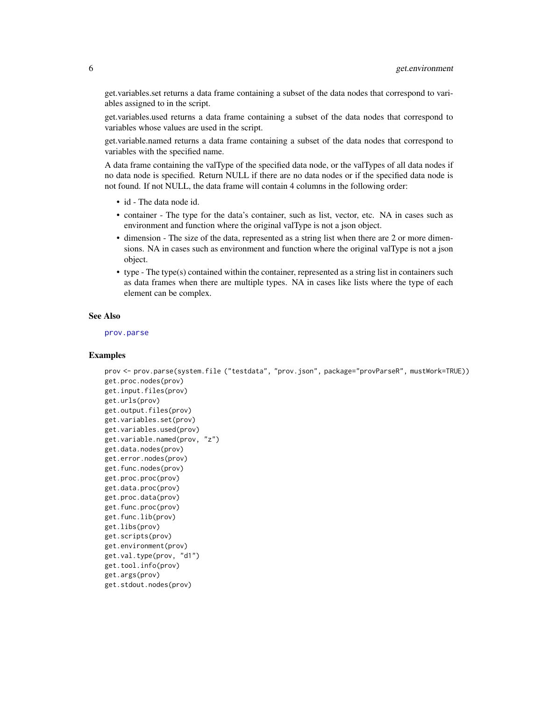<span id="page-5-0"></span>get.variables.set returns a data frame containing a subset of the data nodes that correspond to variables assigned to in the script.

get.variables.used returns a data frame containing a subset of the data nodes that correspond to variables whose values are used in the script.

get.variable.named returns a data frame containing a subset of the data nodes that correspond to variables with the specified name.

A data frame containing the valType of the specified data node, or the valTypes of all data nodes if no data node is specified. Return NULL if there are no data nodes or if the specified data node is not found. If not NULL, the data frame will contain 4 columns in the following order:

- id The data node id.
- container The type for the data's container, such as list, vector, etc. NA in cases such as environment and function where the original valType is not a json object.
- dimension The size of the data, represented as a string list when there are 2 or more dimensions. NA in cases such as environment and function where the original valType is not a json object.
- type The type(s) contained within the container, represented as a string list in containers such as data frames when there are multiple types. NA in cases like lists where the type of each element can be complex.

#### See Also

[prov.parse](#page-6-1)

#### Examples

```
prov <- prov.parse(system.file ("testdata", "prov.json", package="provParseR", mustWork=TRUE))
get.proc.nodes(prov)
get.input.files(prov)
get.urls(prov)
get.output.files(prov)
get.variables.set(prov)
get.variables.used(prov)
get.variable.named(prov, "z")
get.data.nodes(prov)
get.error.nodes(prov)
get.func.nodes(prov)
get.proc.proc(prov)
get.data.proc(prov)
get.proc.data(prov)
get.func.proc(prov)
get.func.lib(prov)
get.libs(prov)
get.scripts(prov)
get.environment(prov)
get.val.type(prov, "d1")
get.tool.info(prov)
get.args(prov)
get.stdout.nodes(prov)
```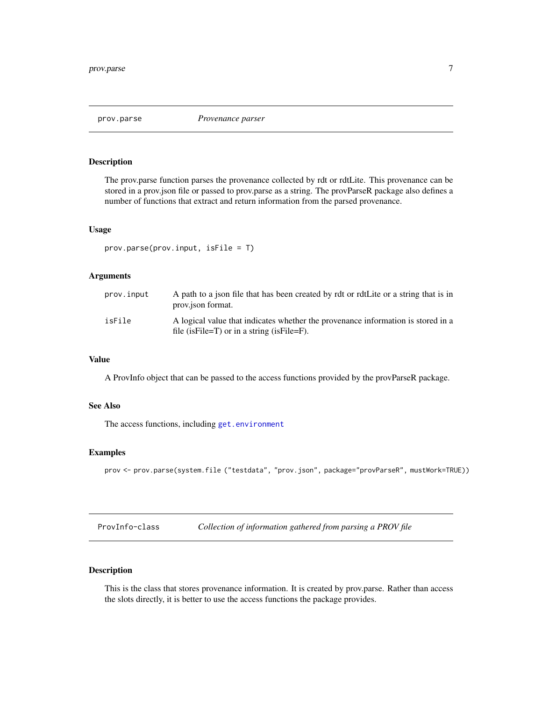<span id="page-6-1"></span><span id="page-6-0"></span>

#### Description

The prov.parse function parses the provenance collected by rdt or rdtLite. This provenance can be stored in a prov.json file or passed to prov.parse as a string. The provParseR package also defines a number of functions that extract and return information from the parsed provenance.

#### Usage

```
prov.parse(prov.input, isFile = T)
```
#### Arguments

| prov.input | A path to a json file that has been created by rdt or rdt Lite or a string that is in<br>prov.json format.                           |
|------------|--------------------------------------------------------------------------------------------------------------------------------------|
| isFile     | A logical value that indicates whether the provenance information is stored in a<br>file (is File = T) or in a string (is File = F). |

#### Value

A ProvInfo object that can be passed to the access functions provided by the provParseR package.

#### See Also

The access functions, including [get.environment](#page-1-1)

#### Examples

```
prov <- prov.parse(system.file ("testdata", "prov.json", package="provParseR", mustWork=TRUE))
```
ProvInfo-class *Collection of information gathered from parsing a PROV file*

#### Description

This is the class that stores provenance information. It is created by prov.parse. Rather than access the slots directly, it is better to use the access functions the package provides.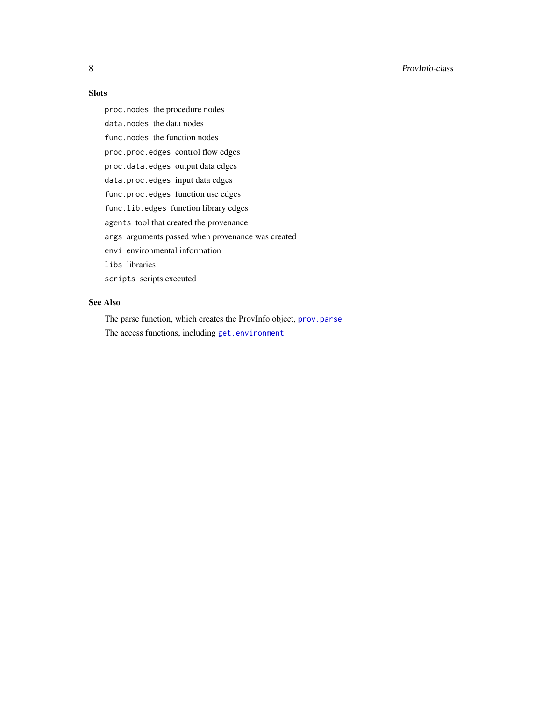#### Slots

proc.nodes the procedure nodes data.nodes the data nodes func.nodes the function nodes proc.proc.edges control flow edges proc.data.edges output data edges data.proc.edges input data edges func.proc.edges function use edges func.lib.edges function library edges agents tool that created the provenance args arguments passed when provenance was created envi environmental information libs libraries scripts scripts executed

### See Also

The parse function, which creates the ProvInfo object, [prov.parse](#page-6-1) The access functions, including [get.environment](#page-1-1)

<span id="page-7-0"></span>